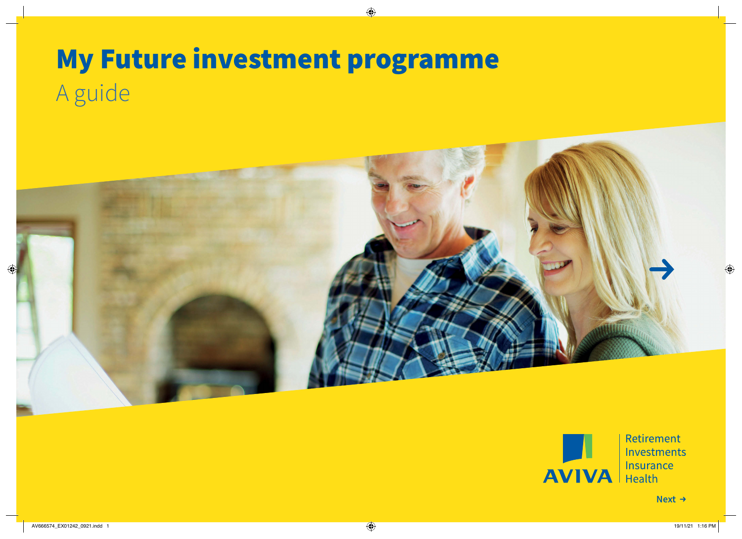## My Future investment programme A guide





Retirement Investments **Insurance**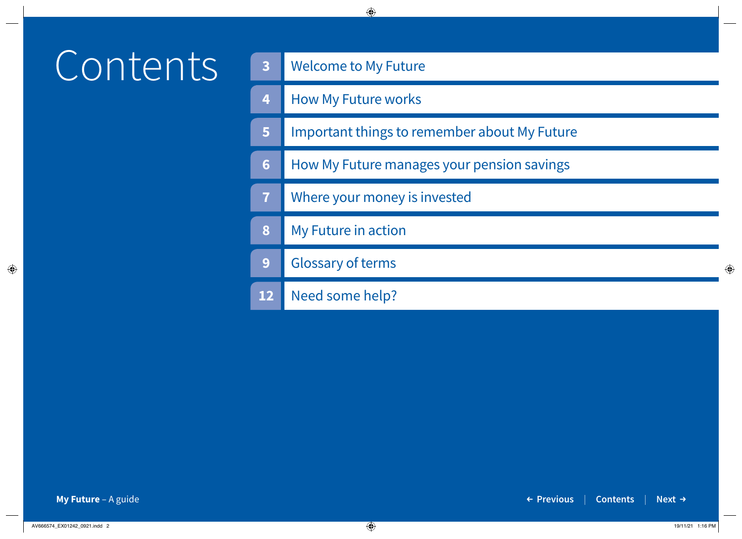# Contents

| $\overline{\mathbf{3}}$ | <b>Welcome to My Future</b>                  |
|-------------------------|----------------------------------------------|
| 4                       | <b>How My Future works</b>                   |
| 5                       | Important things to remember about My Future |
| $6\phantom{a}$          | How My Future manages your pension savings   |
| $\overline{7}$          | Where your money is invested                 |
| 8                       | My Future in action                          |
| 9                       | <b>Glossary of terms</b>                     |
| 12                      | Need some help?                              |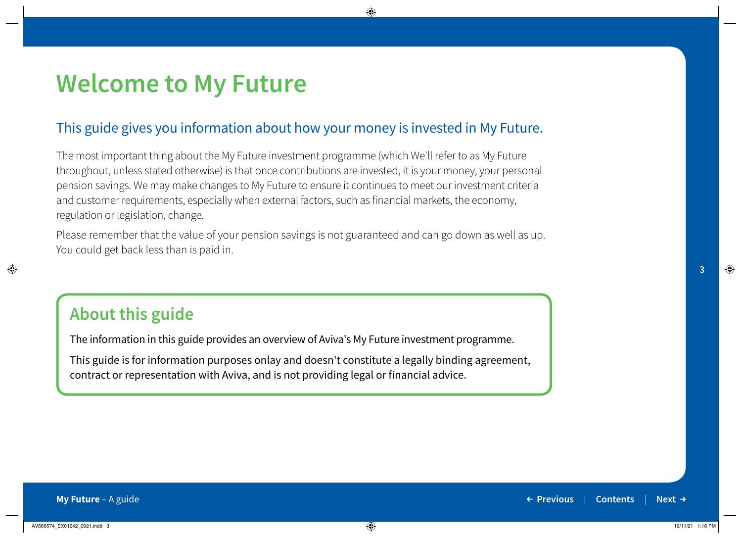### **Welcome to My Future**

### This guide gives you information about how your money is invested in My Future.

The most important thing about the My Future investment programme (which We'll refer to as My Future throughout, unless stated otherwise) is that once contributions are invested, it is your money, your personal pension savings. We may make changes to My Future to ensure it continues to meet our investment criteria and customer requirements, especially when external factors, such as financial markets, the economy, regulation or legislation, change.

Please remember that the value of your pension savings is not guaranteed and can go down as well as up. You could get back less than is paid in.

### **About this guide**

The information in this guide provides an overview of Aviva's My Future investment programme.

This guide is for information purposes onlay and doesn't constitute a legally binding agreement, contract or representation with Aviva, and is not providing legal or financial advice.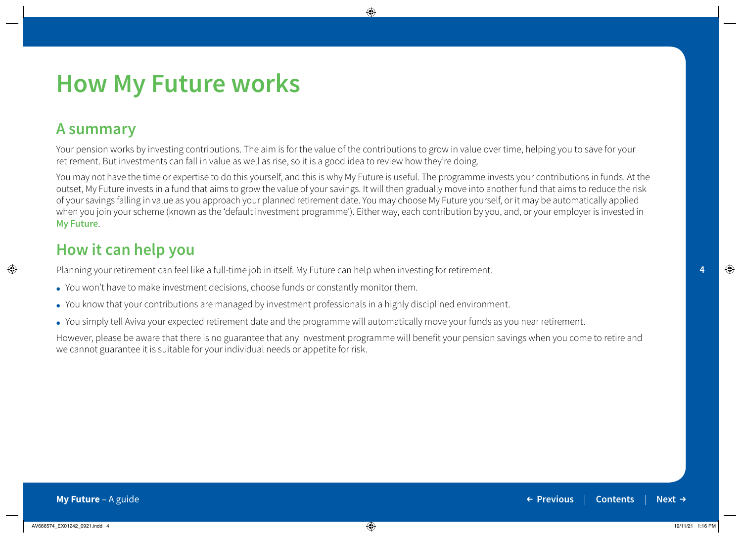#### **My Future** – A guide **Previous** | **Contents** | **Next → Previous** | **Contents** | **Next →**

**4**

### **How My Future works**

### **A summary**

Your pension works by investing contributions. The aim is for the value of the contributions to grow in value over time, helping you to save for your retirement. But investments can fall in value as well as rise, so it is a good idea to review how they're doing.

You may not have the time or expertise to do this yourself, and this is why My Future is useful. The programme invests your contributions in funds. At the outset, My Future invests in a fund that aims to grow the value of your savings. It will then gradually move into another fund that aims to reduce the risk of your savings falling in value as you approach your planned retirement date. You may choose My Future yourself, or it may be automatically applied when you join your scheme (known as the 'default investment programme'). Either way, each contribution by you, and, or your employer is invested in **My Future**.

### **How it can help you**

Planning your retirement can feel like a full-time job in itself. My Future can help when investing for retirement.

- You won't have to make investment decisions, choose funds or constantly monitor them.
- You know that your contributions are managed by investment professionals in a highly disciplined environment.
- You simply tell Aviva your expected retirement date and the programme will automatically move your funds as you near retirement.

However, please be aware that there is no guarantee that any investment programme will benefit your pension savings when you come to retire and we cannot guarantee it is suitable for your individual needs or appetite for risk.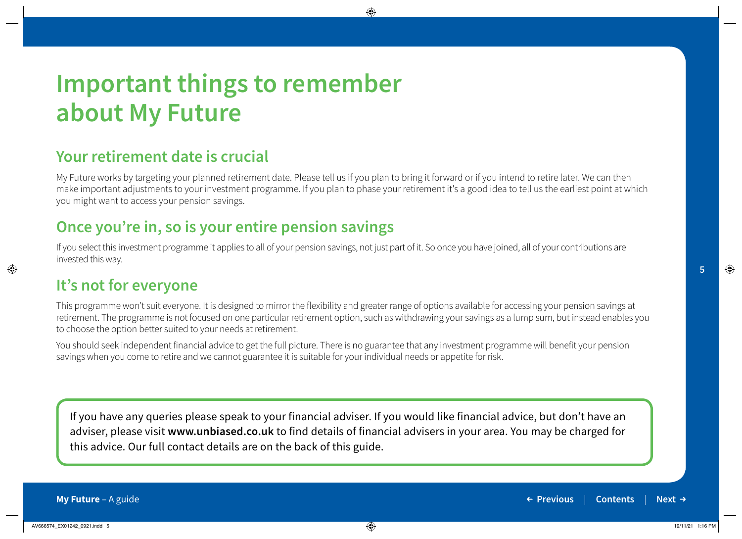### **Important things to remember about My Future**

### **Your retirement date is crucial**

My Future works by targeting your planned retirement date. Please tell us if you plan to bring it forward or if you intend to retire later. We can then make important adjustments to your investment programme. If you plan to phase your retirement it's a good idea to tell us the earliest point at which you might want to access your pension savings.

### **Once you're in, so is your entire pension savings**

If you select this investment programme it applies to all of your pension savings, not just part of it. So once you have joined, all of your contributions are invested this way.

### **It's not for everyone**

This programme won't suit everyone. It is designed to mirror the flexibility and greater range of options available for accessing your pension savings at retirement. The programme is not focused on one particular retirement option, such as withdrawing your savings as a lump sum, but instead enables you to choose the option better suited to your needs at retirement.

You should seek independent financial advice to get the full picture. There is no guarantee that any investment programme will benefit your pension savings when you come to retire and we cannot guarantee it is suitable for your individual needs or appetite for risk.

If you have any queries please speak to your financial adviser. If you would like financial advice, but don't have an adviser, please visit **www.unbiased.co.uk** to find details of financial advisers in your area. You may be charged for this advice. Our full contact details are on the back of this guide.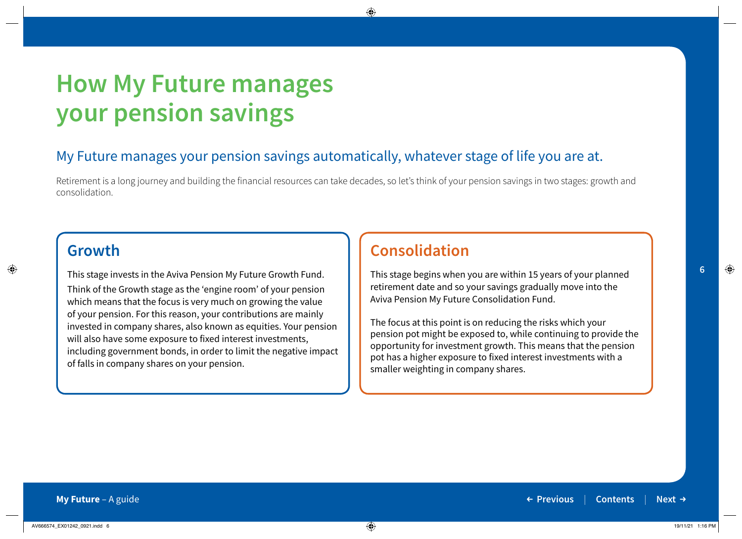### **How My Future manages your pension savings**

### My Future manages your pension savings automatically, whatever stage of life you are at.

Retirement is a long journey and building the financial resources can take decades, so let's think of your pension savings in two stages: growth and consolidation.

### **Growth**

This stage invests in the Aviva Pension My Future Growth Fund. Think of the Growth stage as the 'engine room' of your pension which means that the focus is very much on growing the value of your pension. For this reason, your contributions are mainly invested in company shares, also known as equities. Your pension will also have some exposure to fixed interest investments, including government bonds, in order to limit the negative impact of falls in company shares on your pension.

### **Consolidation**

This stage begins when you are within 15 years of your planned retirement date and so your savings gradually move into the Aviva Pension My Future Consolidation Fund.

The focus at this point is on reducing the risks which your pension pot might be exposed to, while continuing to provide the opportunity for investment growth. This means that the pension pot has a higher exposure to fixed interest investments with a smaller weighting in company shares.

**6**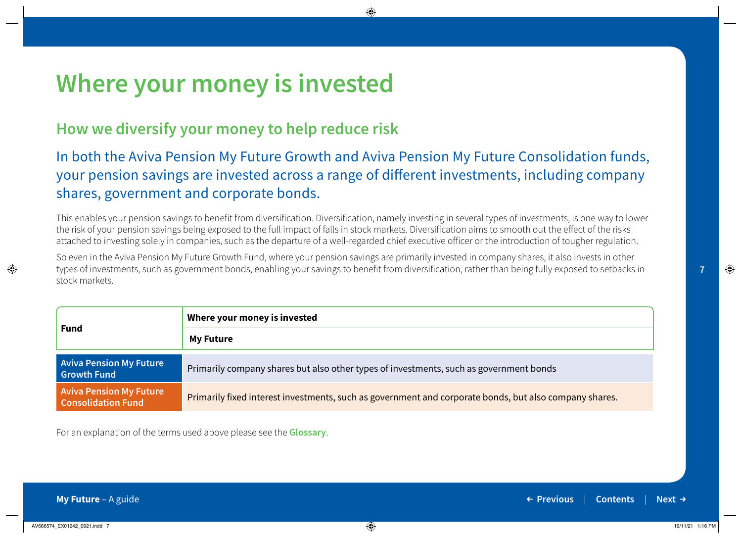### **Where your money is invested**

### **How we diversify your money to help reduce risk**

### In both the Aviva Pension My Future Growth and Aviva Pension My Future Consolidation funds, your pension savings are invested across a range of different investments, including company shares, government and corporate bonds.

This enables your pension savings to benefit from diversification. Diversification, namely investing in several types of investments, is one way to lower the risk of your pension savings being exposed to the full impact of falls in stock markets. Diversification aims to smooth out the effect of the risks attached to investing solely in companies, such as the departure of a well-regarded chief executive officer or the introduction of tougher regulation.

So even in the Aviva Pension My Future Growth Fund, where your pension savings are primarily invested in company shares, it also invests in other types of investments, such as government bonds, enabling your savings to benefit from diversification, rather than being fully exposed to setbacks in stock markets.

|                                                             | Where your money is invested                                                                           |
|-------------------------------------------------------------|--------------------------------------------------------------------------------------------------------|
| <b>Fund</b>                                                 | <b>My Future</b>                                                                                       |
| <b>Aviva Pension My Future</b><br><b>Growth Fund</b>        | Primarily company shares but also other types of investments, such as government bonds                 |
| <b>Aviva Pension My Future</b><br><b>Consolidation Fund</b> | Primarily fixed interest investments, such as government and corporate bonds, but also company shares. |

For an explanation of the terms used above please see the **Glossary**.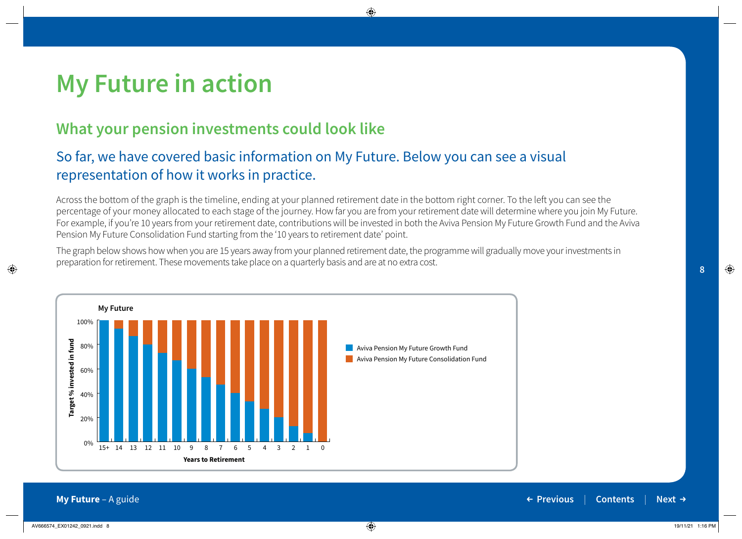#### **My Future** – A guide **Previous** | **Contents** | **Next → Previous** | **Contents** | **Next →**



### **What your pension investments could look like**

### So far, we have covered basic information on My Future. Below you can see a visual representation of how it works in practice.

Across the bottom of the graph is the timeline, ending at your planned retirement date in the bottom right corner. To the left you can see the percentage of your money allocated to each stage of the journey. How far you are from your retirement date will determine where you join My Future. For example, if you're 10 years from your retirement date, contributions will be invested in both the Aviva Pension My Future Growth Fund and the Aviva Pension My Future Consolidation Fund starting from the '10 years to retirement date' point.

The graph below shows how when you are 15 years away from your planned retirement date, the programme will gradually move your investments in preparation for retirement. These movements take place on a quarterly basis and are at no extra cost.

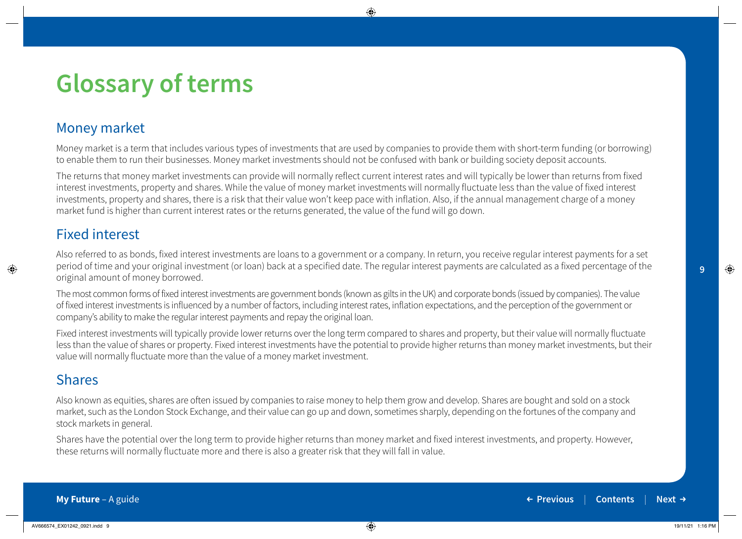#### **My Future** – A guide **Previous** | **Contents** | **Next → Previous** | **Contents** | **Next →**

#### Money market

Money market is a term that includes various types of investments that are used by companies to provide them with short-term funding (or borrowing) to enable them to run their businesses. Money market investments should not be confused with bank or building society deposit accounts.

The returns that money market investments can provide will normally reflect current interest rates and will typically be lower than returns from fixed interest investments, property and shares. While the value of money market investments will normally fluctuate less than the value of fixed interest investments, property and shares, there is a risk that their value won't keep pace with inflation. Also, if the annual management charge of a money market fund is higher than current interest rates or the returns generated, the value of the fund will go down.

#### Fixed interest

Also referred to as bonds, fixed interest investments are loans to a government or a company. In return, you receive regular interest payments for a set period of time and your original investment (or loan) back at a specified date. The regular interest payments are calculated as a fixed percentage of the original amount of money borrowed.

The most common forms of fixed interest investments are government bonds (known as gilts in the UK) and corporate bonds (issued by companies). The value of fixed interest investments is influenced by a number of factors, including interest rates, inflation expectations, and the perception of the government or company's ability to make the regular interest payments and repay the original loan.

Fixed interest investments will typically provide lower returns over the long term compared to shares and property, but their value will normally fluctuate less than the value of shares or property. Fixed interest investments have the potential to provide higher returns than money market investments, but their value will normally fluctuate more than the value of a money market investment.

### Shares

Also known as equities, shares are often issued by companies to raise money to help them grow and develop. Shares are bought and sold on a stock market, such as the London Stock Exchange, and their value can go up and down, sometimes sharply, depending on the fortunes of the company and stock markets in general.

Shares have the potential over the long term to provide higher returns than money market and fixed interest investments, and property. However, these returns will normally fluctuate more and there is also a greater risk that they will fall in value.